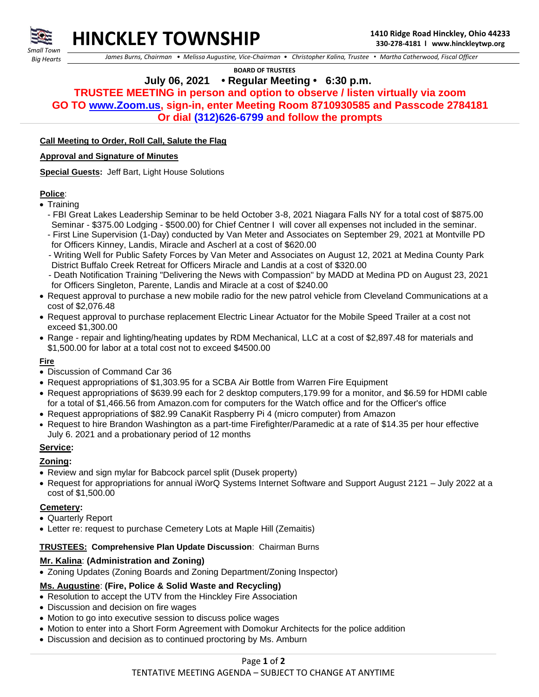



 *James Burns, Chairman • Melissa Augustine, Vice-Chairman • Christopher Kalina, Trustee • Martha Catherwood, Fiscal Officer*

 **BOARD OF TRUSTEES**

# **July 06, 2021 • Regular Meeting • 6:30 p.m.**

**TRUSTEE MEETING in person and option to observe / listen virtually via zoom GO TO [www.Zoom.us,](http://www.zoom.us/) sign-in, enter Meeting Room 8710930585 and Passcode 2784181 Or dial (312)626-6799 and follow the prompts**

#### **Call Meeting to Order, Roll Call, Salute the Flag**

#### **Approval and Signature of Minutes**

**Special Guests:** Jeff Bart, Light House Solutions

#### **Police**:

- Training
	- FBI Great Lakes Leadership Seminar to be held October 3-8, 2021 Niagara Falls NY for a total cost of \$875.00 Seminar - \$375.00 Lodging - \$500.00) for Chief Centner I will cover all expenses not included in the seminar.
	- First Line Supervision (1-Day) conducted by Van Meter and Associates on September 29, 2021 at Montville PD for Officers Kinney, Landis, Miracle and Ascherl at a cost of \$620.00
	- Writing Well for Public Safety Forces by Van Meter and Associates on August 12, 2021 at Medina County Park District Buffalo Creek Retreat for Officers Miracle and Landis at a cost of \$320.00
	- Death Notification Training "Delivering the News with Compassion" by MADD at Medina PD on August 23, 2021 for Officers Singleton, Parente, Landis and Miracle at a cost of \$240.00
- Request approval to purchase a new mobile radio for the new patrol vehicle from Cleveland Communications at a cost of \$2,076.48
- Request approval to purchase replacement Electric Linear Actuator for the Mobile Speed Trailer at a cost not exceed \$1,300.00
- Range repair and lighting/heating updates by RDM Mechanical, LLC at a cost of \$2,897.48 for materials and \$1,500.00 for labor at a total cost not to exceed \$4500.00

## **Fire**

- Discussion of Command Car 36
- Request appropriations of \$1,303.95 for a SCBA Air Bottle from Warren Fire Equipment
- Request appropriations of \$639.99 each for 2 desktop computers,179.99 for a monitor, and \$6.59 for HDMI cable for a total of \$1,466.56 from Amazon.com for computers for the Watch office and for the Officer's office
- Request appropriations of \$82.99 CanaKit Raspberry Pi 4 (micro computer) from Amazon
- Request to hire Brandon Washington as a part-time Firefighter/Paramedic at a rate of \$14.35 per hour effective July 6. 2021 and a probationary period of 12 months

## **Service:**

#### **Zoning:**

- Review and sign mylar for Babcock parcel split (Dusek property)
- Request for appropriations for annual iWorQ Systems Internet Software and Support August 2121 July 2022 at a cost of \$1,500.00

## **Cemetery:**

- Quarterly Report
- Letter re: request to purchase Cemetery Lots at Maple Hill (Zemaitis)

## **TRUSTEES: Comprehensive Plan Update Discussion**: Chairman Burns

## **Mr. Kalina**: **(Administration and Zoning)**

• Zoning Updates (Zoning Boards and Zoning Department/Zoning Inspector)

## **Ms. Augustine**: **(Fire, Police & Solid Waste and Recycling)**

- Resolution to accept the UTV from the Hinckley Fire Association
- Discussion and decision on fire wages
- Motion to go into executive session to discuss police wages
- Motion to enter into a Short Form Agreement with Domokur Architects for the police addition
- Discussion and decision as to continued proctoring by Ms. Amburn